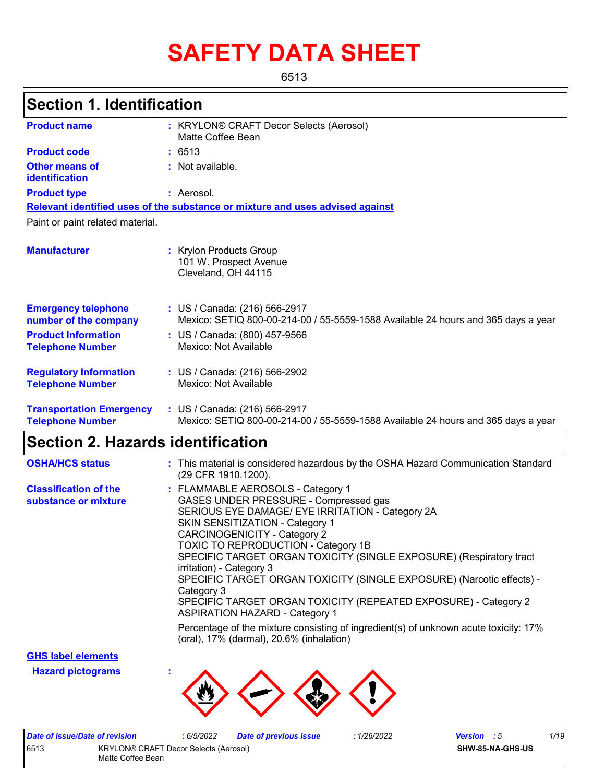# **SAFETY DATA SHEET**

6513

# **Section 1. Identification**

| <b>Product name</b>                                        | : KRYLON® CRAFT Decor Selects (Aerosol)<br>Matte Coffee Bean                                                       |
|------------------------------------------------------------|--------------------------------------------------------------------------------------------------------------------|
| <b>Product code</b>                                        | : 6513                                                                                                             |
| <b>Other means of</b><br>identification                    | : Not available.                                                                                                   |
| <b>Product type</b>                                        | : Aerosol.                                                                                                         |
|                                                            | Relevant identified uses of the substance or mixture and uses advised against                                      |
| Paint or paint related material.                           |                                                                                                                    |
| <b>Manufacturer</b>                                        | : Krylon Products Group<br>101 W. Prospect Avenue<br>Cleveland, OH 44115                                           |
| <b>Emergency telephone</b><br>number of the company        | : US / Canada: (216) 566-2917<br>Mexico: SETIQ 800-00-214-00 / 55-5559-1588 Available 24 hours and 365 days a year |
| <b>Product Information</b><br><b>Telephone Number</b>      | : US / Canada: (800) 457-9566<br>Mexico: Not Available                                                             |
| <b>Regulatory Information</b><br><b>Telephone Number</b>   | : US / Canada: (216) 566-2902<br>Mexico: Not Available                                                             |
| <b>Transportation Emergency</b><br><b>Telephone Number</b> | : US / Canada: (216) 566-2917<br>Mexico: SETIQ 800-00-214-00 / 55-5559-1588 Available 24 hours and 365 days a year |

# **Section 2. Hazards identification**

| <b>OSHA/HCS status</b>                               | : This material is considered hazardous by the OSHA Hazard Communication Standard<br>(29 CFR 1910.1200).                                                                                                                                                                                                                                                                                                                                                                                                                                                     |
|------------------------------------------------------|--------------------------------------------------------------------------------------------------------------------------------------------------------------------------------------------------------------------------------------------------------------------------------------------------------------------------------------------------------------------------------------------------------------------------------------------------------------------------------------------------------------------------------------------------------------|
| <b>Classification of the</b><br>substance or mixture | : FLAMMABLE AEROSOLS - Category 1<br>GASES UNDER PRESSURE - Compressed gas<br>SERIOUS EYE DAMAGE/ EYE IRRITATION - Category 2A<br>SKIN SENSITIZATION - Category 1<br><b>CARCINOGENICITY - Category 2</b><br><b>TOXIC TO REPRODUCTION - Category 1B</b><br>SPECIFIC TARGET ORGAN TOXICITY (SINGLE EXPOSURE) (Respiratory tract<br>irritation) - Category 3<br>SPECIFIC TARGET ORGAN TOXICITY (SINGLE EXPOSURE) (Narcotic effects) -<br>Category 3<br>SPECIFIC TARGET ORGAN TOXICITY (REPEATED EXPOSURE) - Category 2<br><b>ASPIRATION HAZARD - Category 1</b> |
|                                                      | Percentage of the mixture consisting of ingredient(s) of unknown acute toxicity: 17%<br>(oral), 17% (dermal), 20.6% (inhalation)                                                                                                                                                                                                                                                                                                                                                                                                                             |

**GHS label elements**

**Hazard pictograms :**



| Date of issue/Date of revision                                            |  | 6/5/2022 | <b>Date of previous issue</b> | 1/26/2022 | <b>Version</b> : 5 | 1/19             |
|---------------------------------------------------------------------------|--|----------|-------------------------------|-----------|--------------------|------------------|
| 6513<br><b>KRYLON® CRAFT Decor Selects (Aerosol)</b><br>Matte Coffee Bean |  |          |                               |           |                    | SHW-85-NA-GHS-US |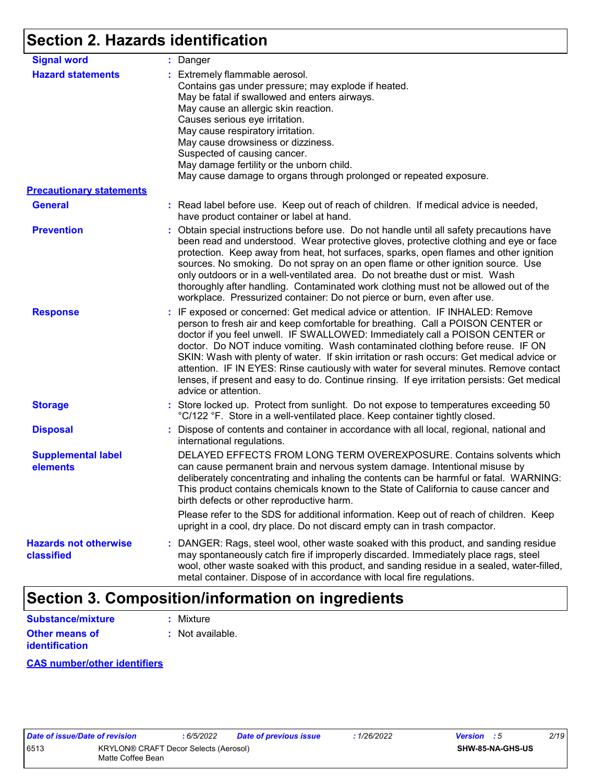# **Section 2. Hazards identification**

| <b>Signal word</b>                         | : Danger                                                                                                                                                                                                                                                                                                                                                                                                                                                                                                                                                                                                                                           |
|--------------------------------------------|----------------------------------------------------------------------------------------------------------------------------------------------------------------------------------------------------------------------------------------------------------------------------------------------------------------------------------------------------------------------------------------------------------------------------------------------------------------------------------------------------------------------------------------------------------------------------------------------------------------------------------------------------|
| <b>Hazard statements</b>                   | : Extremely flammable aerosol.<br>Contains gas under pressure; may explode if heated.<br>May be fatal if swallowed and enters airways.<br>May cause an allergic skin reaction.<br>Causes serious eye irritation.<br>May cause respiratory irritation.<br>May cause drowsiness or dizziness.<br>Suspected of causing cancer.<br>May damage fertility or the unborn child.<br>May cause damage to organs through prolonged or repeated exposure.                                                                                                                                                                                                     |
| <b>Precautionary statements</b>            |                                                                                                                                                                                                                                                                                                                                                                                                                                                                                                                                                                                                                                                    |
| <b>General</b>                             | : Read label before use. Keep out of reach of children. If medical advice is needed,<br>have product container or label at hand.                                                                                                                                                                                                                                                                                                                                                                                                                                                                                                                   |
| <b>Prevention</b>                          | : Obtain special instructions before use. Do not handle until all safety precautions have<br>been read and understood. Wear protective gloves, protective clothing and eye or face<br>protection. Keep away from heat, hot surfaces, sparks, open flames and other ignition<br>sources. No smoking. Do not spray on an open flame or other ignition source. Use<br>only outdoors or in a well-ventilated area. Do not breathe dust or mist. Wash<br>thoroughly after handling. Contaminated work clothing must not be allowed out of the<br>workplace. Pressurized container: Do not pierce or burn, even after use.                               |
| <b>Response</b>                            | : IF exposed or concerned: Get medical advice or attention. IF INHALED: Remove<br>person to fresh air and keep comfortable for breathing. Call a POISON CENTER or<br>doctor if you feel unwell. IF SWALLOWED: Immediately call a POISON CENTER or<br>doctor. Do NOT induce vomiting. Wash contaminated clothing before reuse. IF ON<br>SKIN: Wash with plenty of water. If skin irritation or rash occurs: Get medical advice or<br>attention. IF IN EYES: Rinse cautiously with water for several minutes. Remove contact<br>lenses, if present and easy to do. Continue rinsing. If eye irritation persists: Get medical<br>advice or attention. |
| <b>Storage</b>                             | : Store locked up. Protect from sunlight. Do not expose to temperatures exceeding 50<br>°C/122 °F. Store in a well-ventilated place. Keep container tightly closed.                                                                                                                                                                                                                                                                                                                                                                                                                                                                                |
| <b>Disposal</b>                            | : Dispose of contents and container in accordance with all local, regional, national and<br>international regulations.                                                                                                                                                                                                                                                                                                                                                                                                                                                                                                                             |
| <b>Supplemental label</b><br>elements      | DELAYED EFFECTS FROM LONG TERM OVEREXPOSURE. Contains solvents which<br>can cause permanent brain and nervous system damage. Intentional misuse by<br>deliberately concentrating and inhaling the contents can be harmful or fatal. WARNING:<br>This product contains chemicals known to the State of California to cause cancer and<br>birth defects or other reproductive harm.                                                                                                                                                                                                                                                                  |
|                                            | Please refer to the SDS for additional information. Keep out of reach of children. Keep<br>upright in a cool, dry place. Do not discard empty can in trash compactor.                                                                                                                                                                                                                                                                                                                                                                                                                                                                              |
| <b>Hazards not otherwise</b><br>classified | : DANGER: Rags, steel wool, other waste soaked with this product, and sanding residue<br>may spontaneously catch fire if improperly discarded. Immediately place rags, steel<br>wool, other waste soaked with this product, and sanding residue in a sealed, water-filled,<br>metal container. Dispose of in accordance with local fire regulations.                                                                                                                                                                                                                                                                                               |

# **Section 3. Composition/information on ingredients**

| <b>Substance/mixture</b>                | : Mixture        |
|-----------------------------------------|------------------|
| Other means of<br><b>identification</b> | : Not available. |

#### **CAS number/other identifiers**

|     | ate of issue/Date of revisi |              |
|-----|-----------------------------|--------------|
| 513 |                             | <b>KRYLO</b> |
|     |                             | Matte C      |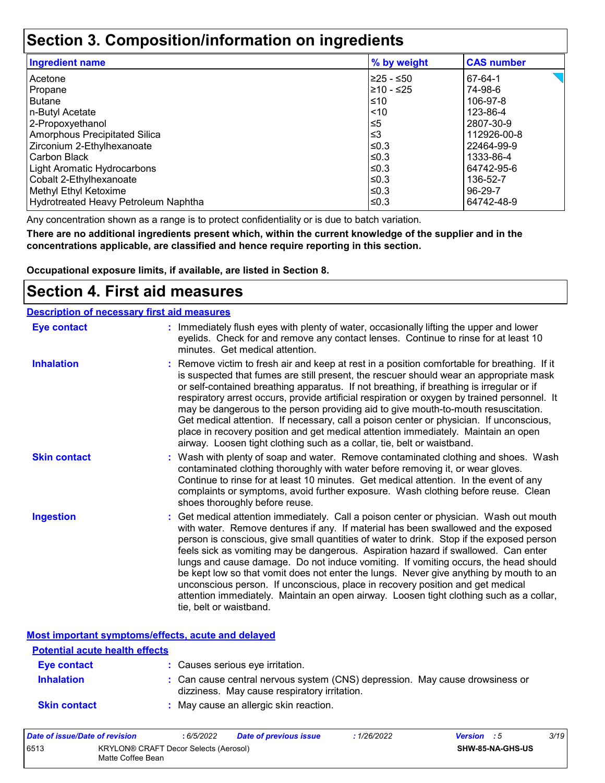## **Section 3. Composition/information on ingredients**

| <b>Ingredient name</b>               | % by weight | <b>CAS number</b> |
|--------------------------------------|-------------|-------------------|
| Acetone                              | I≥25 - ≤50  | 67-64-1           |
| Propane                              | 210 - ≤25   | 74-98-6           |
| <b>Butane</b>                        | $\leq 10$   | 106-97-8          |
| n-Butyl Acetate                      | $\leq 10$   | 123-86-4          |
| 2-Propoxyethanol                     | ≤5          | 2807-30-9         |
| Amorphous Precipitated Silica        | l≤3         | 112926-00-8       |
| Zirconium 2-Ethylhexanoate           | l≤0.3       | 22464-99-9        |
| Carbon Black                         | l≤0.3       | 1333-86-4         |
| Light Aromatic Hydrocarbons          | $\leq$ 0.3  | 64742-95-6        |
| Cobalt 2-Ethylhexanoate              | I≤0.3       | 136-52-7          |
| Methyl Ethyl Ketoxime                | ≤0.3        | 96-29-7           |
| Hydrotreated Heavy Petroleum Naphtha | I≤0.3       | 64742-48-9        |

Any concentration shown as a range is to protect confidentiality or is due to batch variation.

**There are no additional ingredients present which, within the current knowledge of the supplier and in the concentrations applicable, are classified and hence require reporting in this section.**

**Occupational exposure limits, if available, are listed in Section 8.**

### **Section 4. First aid measures**

| <b>Description of necessary first aid measures</b> |                                                                                                                                                                                                                                                                                                                                                                                                                                                                                                                                                                                                                                                                                                                                                         |
|----------------------------------------------------|---------------------------------------------------------------------------------------------------------------------------------------------------------------------------------------------------------------------------------------------------------------------------------------------------------------------------------------------------------------------------------------------------------------------------------------------------------------------------------------------------------------------------------------------------------------------------------------------------------------------------------------------------------------------------------------------------------------------------------------------------------|
| <b>Eye contact</b>                                 | : Immediately flush eyes with plenty of water, occasionally lifting the upper and lower<br>eyelids. Check for and remove any contact lenses. Continue to rinse for at least 10<br>minutes. Get medical attention.                                                                                                                                                                                                                                                                                                                                                                                                                                                                                                                                       |
| <b>Inhalation</b>                                  | : Remove victim to fresh air and keep at rest in a position comfortable for breathing. If it<br>is suspected that fumes are still present, the rescuer should wear an appropriate mask<br>or self-contained breathing apparatus. If not breathing, if breathing is irregular or if<br>respiratory arrest occurs, provide artificial respiration or oxygen by trained personnel. It<br>may be dangerous to the person providing aid to give mouth-to-mouth resuscitation.<br>Get medical attention. If necessary, call a poison center or physician. If unconscious,<br>place in recovery position and get medical attention immediately. Maintain an open<br>airway. Loosen tight clothing such as a collar, tie, belt or waistband.                    |
| <b>Skin contact</b>                                | : Wash with plenty of soap and water. Remove contaminated clothing and shoes. Wash<br>contaminated clothing thoroughly with water before removing it, or wear gloves.<br>Continue to rinse for at least 10 minutes. Get medical attention. In the event of any<br>complaints or symptoms, avoid further exposure. Wash clothing before reuse. Clean<br>shoes thoroughly before reuse.                                                                                                                                                                                                                                                                                                                                                                   |
| <b>Ingestion</b>                                   | : Get medical attention immediately. Call a poison center or physician. Wash out mouth<br>with water. Remove dentures if any. If material has been swallowed and the exposed<br>person is conscious, give small quantities of water to drink. Stop if the exposed person<br>feels sick as vomiting may be dangerous. Aspiration hazard if swallowed. Can enter<br>lungs and cause damage. Do not induce vomiting. If vomiting occurs, the head should<br>be kept low so that vomit does not enter the lungs. Never give anything by mouth to an<br>unconscious person. If unconscious, place in recovery position and get medical<br>attention immediately. Maintain an open airway. Loosen tight clothing such as a collar,<br>tie, belt or waistband. |

**Most important symptoms/effects, acute and delayed**

| <b>Potential acute health effects</b> | <u>noot miliottamt of miliotomological abato and abiafoa</u>                                                                 |
|---------------------------------------|------------------------------------------------------------------------------------------------------------------------------|
| <b>Eye contact</b>                    | : Causes serious eye irritation.                                                                                             |
| <b>Inhalation</b>                     | : Can cause central nervous system (CNS) depression. May cause drowsiness or<br>dizziness. May cause respiratory irritation. |
| <b>Skin contact</b>                   | : May cause an allergic skin reaction.                                                                                       |

| Date of issue/Date of revision                                     |  | 6/5/2022 | <b>Date of previous issue</b> | 1/26/2022 | <b>Version</b> : 5 |  | 3/19 |
|--------------------------------------------------------------------|--|----------|-------------------------------|-----------|--------------------|--|------|
| 6513<br>KRYLON® CRAFT Decor Selects (Aerosol)<br>Matte Coffee Bean |  |          |                               |           | SHW-85-NA-GHS-US   |  |      |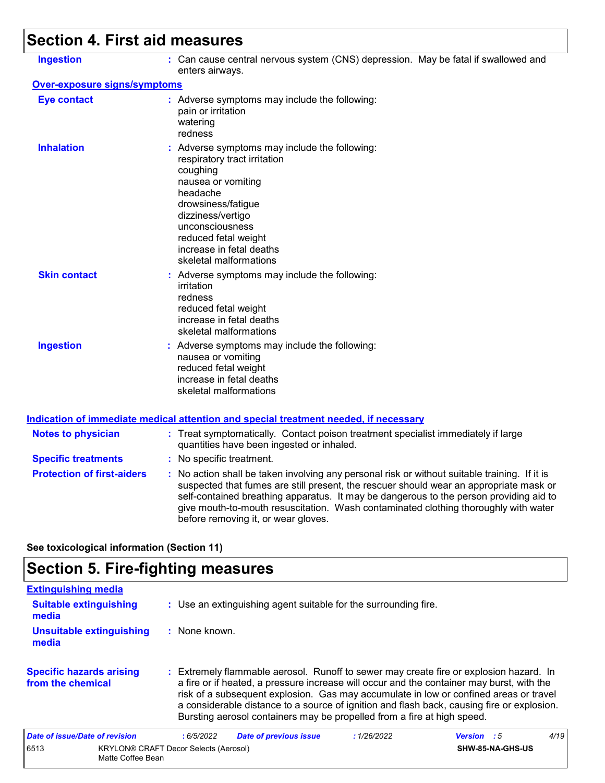# **Section 4. First aid measures**

| <b>Ingestion</b>                    | : Can cause central nervous system (CNS) depression. May be fatal if swallowed and<br>enters airways.                                                                                                                                                                                                                                                                                                           |
|-------------------------------------|-----------------------------------------------------------------------------------------------------------------------------------------------------------------------------------------------------------------------------------------------------------------------------------------------------------------------------------------------------------------------------------------------------------------|
| <b>Over-exposure signs/symptoms</b> |                                                                                                                                                                                                                                                                                                                                                                                                                 |
| <b>Eye contact</b>                  | : Adverse symptoms may include the following:<br>pain or irritation<br>watering<br>redness                                                                                                                                                                                                                                                                                                                      |
| <b>Inhalation</b>                   | : Adverse symptoms may include the following:<br>respiratory tract irritation<br>coughing<br>nausea or vomiting<br>headache<br>drowsiness/fatigue<br>dizziness/vertigo<br>unconsciousness<br>reduced fetal weight<br>increase in fetal deaths<br>skeletal malformations                                                                                                                                         |
| <b>Skin contact</b>                 | : Adverse symptoms may include the following:<br>irritation<br>redness<br>reduced fetal weight<br>increase in fetal deaths<br>skeletal malformations                                                                                                                                                                                                                                                            |
| <b>Ingestion</b>                    | : Adverse symptoms may include the following:<br>nausea or vomiting<br>reduced fetal weight<br>increase in fetal deaths<br>skeletal malformations                                                                                                                                                                                                                                                               |
|                                     | <b>Indication of immediate medical attention and special treatment needed, if necessary</b>                                                                                                                                                                                                                                                                                                                     |
| <b>Notes to physician</b>           | : Treat symptomatically. Contact poison treatment specialist immediately if large<br>quantities have been ingested or inhaled.                                                                                                                                                                                                                                                                                  |
| <b>Specific treatments</b>          | : No specific treatment.                                                                                                                                                                                                                                                                                                                                                                                        |
| <b>Protection of first-aiders</b>   | : No action shall be taken involving any personal risk or without suitable training. If it is<br>suspected that fumes are still present, the rescuer should wear an appropriate mask or<br>self-contained breathing apparatus. It may be dangerous to the person providing aid to<br>give mouth-to-mouth resuscitation. Wash contaminated clothing thoroughly with water<br>before removing it, or wear gloves. |

**See toxicological information (Section 11)**

# **Section 5. Fire-fighting measures**

| <b>Extinguishing media</b>                           |                                                                   |                                                                 |                                                                                                                                                                                                                                                                                                                                                                                                                                                       |             |                    |                  |      |
|------------------------------------------------------|-------------------------------------------------------------------|-----------------------------------------------------------------|-------------------------------------------------------------------------------------------------------------------------------------------------------------------------------------------------------------------------------------------------------------------------------------------------------------------------------------------------------------------------------------------------------------------------------------------------------|-------------|--------------------|------------------|------|
| <b>Suitable extinguishing</b><br>media               |                                                                   | : Use an extinguishing agent suitable for the surrounding fire. |                                                                                                                                                                                                                                                                                                                                                                                                                                                       |             |                    |                  |      |
| Unsuitable extinguishing<br>media                    |                                                                   | : None known.                                                   |                                                                                                                                                                                                                                                                                                                                                                                                                                                       |             |                    |                  |      |
| <b>Specific hazards arising</b><br>from the chemical |                                                                   |                                                                 | : Extremely flammable aerosol. Runoff to sewer may create fire or explosion hazard. In<br>a fire or if heated, a pressure increase will occur and the container may burst, with the<br>risk of a subsequent explosion. Gas may accumulate in low or confined areas or travel<br>a considerable distance to a source of ignition and flash back, causing fire or explosion.<br>Bursting aerosol containers may be propelled from a fire at high speed. |             |                    |                  |      |
| Date of issue/Date of revision                       |                                                                   | :6/5/2022                                                       | <b>Date of previous issue</b>                                                                                                                                                                                                                                                                                                                                                                                                                         | : 1/26/2022 | <b>Version</b> : 5 |                  | 4/19 |
| 6513                                                 | <b>KRYLON® CRAFT Decor Selects (Aerosol)</b><br>Matte Coffee Bean |                                                                 |                                                                                                                                                                                                                                                                                                                                                                                                                                                       |             |                    | SHW-85-NA-GHS-US |      |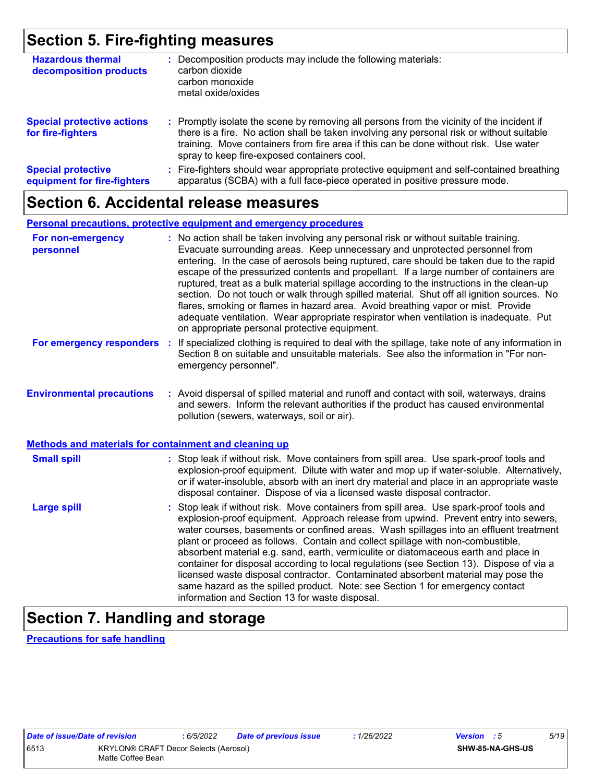## **Section 5. Fire-fighting measures**

| <b>Hazardous thermal</b><br>decomposition products       | Decomposition products may include the following materials:<br>carbon dioxide<br>carbon monoxide<br>metal oxide/oxides                                                                                                                                                                                                        |
|----------------------------------------------------------|-------------------------------------------------------------------------------------------------------------------------------------------------------------------------------------------------------------------------------------------------------------------------------------------------------------------------------|
| <b>Special protective actions</b><br>for fire-fighters   | : Promptly isolate the scene by removing all persons from the vicinity of the incident if<br>there is a fire. No action shall be taken involving any personal risk or without suitable<br>training. Move containers from fire area if this can be done without risk. Use water<br>spray to keep fire-exposed containers cool. |
| <b>Special protective</b><br>equipment for fire-fighters | Fire-fighters should wear appropriate protective equipment and self-contained breathing<br>apparatus (SCBA) with a full face-piece operated in positive pressure mode.                                                                                                                                                        |

### **Section 6. Accidental release measures**

#### **Personal precautions, protective equipment and emergency procedures**

| For non-emergency<br>personnel                               | : No action shall be taken involving any personal risk or without suitable training.<br>Evacuate surrounding areas. Keep unnecessary and unprotected personnel from<br>entering. In the case of aerosols being ruptured, care should be taken due to the rapid<br>escape of the pressurized contents and propellant. If a large number of containers are<br>ruptured, treat as a bulk material spillage according to the instructions in the clean-up<br>section. Do not touch or walk through spilled material. Shut off all ignition sources. No<br>flares, smoking or flames in hazard area. Avoid breathing vapor or mist. Provide<br>adequate ventilation. Wear appropriate respirator when ventilation is inadequate. Put<br>on appropriate personal protective equipment. |  |  |  |
|--------------------------------------------------------------|----------------------------------------------------------------------------------------------------------------------------------------------------------------------------------------------------------------------------------------------------------------------------------------------------------------------------------------------------------------------------------------------------------------------------------------------------------------------------------------------------------------------------------------------------------------------------------------------------------------------------------------------------------------------------------------------------------------------------------------------------------------------------------|--|--|--|
| For emergency responders                                     | : If specialized clothing is required to deal with the spillage, take note of any information in<br>Section 8 on suitable and unsuitable materials. See also the information in "For non-<br>emergency personnel".                                                                                                                                                                                                                                                                                                                                                                                                                                                                                                                                                               |  |  |  |
| <b>Environmental precautions</b>                             | : Avoid dispersal of spilled material and runoff and contact with soil, waterways, drains<br>and sewers. Inform the relevant authorities if the product has caused environmental<br>pollution (sewers, waterways, soil or air).                                                                                                                                                                                                                                                                                                                                                                                                                                                                                                                                                  |  |  |  |
| <b>Methods and materials for containment and cleaning up</b> |                                                                                                                                                                                                                                                                                                                                                                                                                                                                                                                                                                                                                                                                                                                                                                                  |  |  |  |
| <b>Small spill</b>                                           | : Stop leak if without risk. Move containers from spill area. Use spark-proof tools and<br>explosion-proof equipment. Dilute with water and mop up if water-soluble. Alternatively,<br>or if water-insoluble, absorb with an inert dry material and place in an appropriate waste<br>disposal container. Dispose of via a licensed waste disposal contractor.                                                                                                                                                                                                                                                                                                                                                                                                                    |  |  |  |
| <b>Large spill</b>                                           | : Stop leak if without risk. Move containers from spill area. Use spark-proof tools and<br>explosion-proof equipment. Approach release from upwind. Prevent entry into sewers,<br>water courses, basements or confined areas. Wash spillages into an effluent treatment<br>plant or proceed as follows. Contain and collect spillage with non-combustible,<br>absorbent material e.g. sand, earth, vermiculite or diatomaceous earth and place in<br>container for disposal according to local regulations (see Section 13). Dispose of via a<br>licensed waste disposal contractor. Contaminated absorbent material may pose the<br>same hazard as the spilled product. Note: see Section 1 for emergency contact<br>information and Section 13 for waste disposal.             |  |  |  |

# **Section 7. Handling and storage**

**Precautions for safe handling**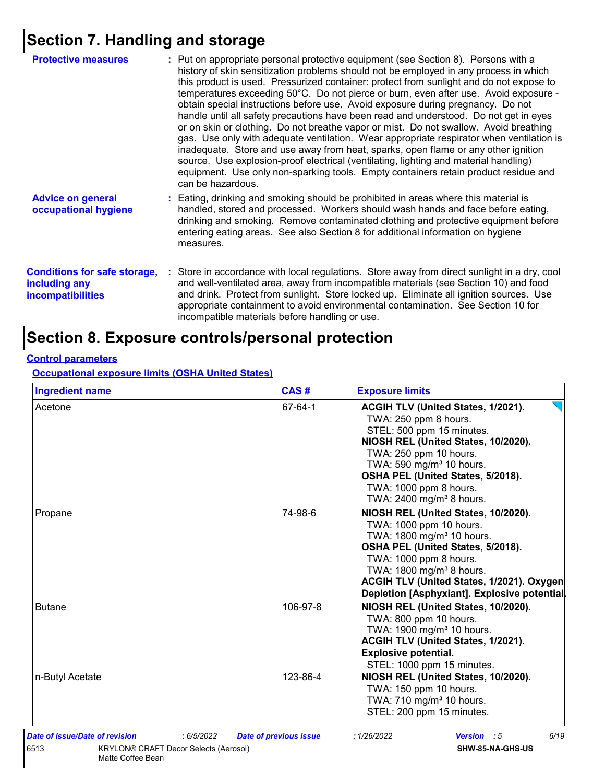# **Section 7. Handling and storage**

| <b>Protective measures</b>                                                       | : Put on appropriate personal protective equipment (see Section 8). Persons with a<br>history of skin sensitization problems should not be employed in any process in which<br>this product is used. Pressurized container: protect from sunlight and do not expose to<br>temperatures exceeding 50°C. Do not pierce or burn, even after use. Avoid exposure -<br>obtain special instructions before use. Avoid exposure during pregnancy. Do not<br>handle until all safety precautions have been read and understood. Do not get in eyes<br>or on skin or clothing. Do not breathe vapor or mist. Do not swallow. Avoid breathing<br>gas. Use only with adequate ventilation. Wear appropriate respirator when ventilation is<br>inadequate. Store and use away from heat, sparks, open flame or any other ignition<br>source. Use explosion-proof electrical (ventilating, lighting and material handling)<br>equipment. Use only non-sparking tools. Empty containers retain product residue and<br>can be hazardous. |
|----------------------------------------------------------------------------------|---------------------------------------------------------------------------------------------------------------------------------------------------------------------------------------------------------------------------------------------------------------------------------------------------------------------------------------------------------------------------------------------------------------------------------------------------------------------------------------------------------------------------------------------------------------------------------------------------------------------------------------------------------------------------------------------------------------------------------------------------------------------------------------------------------------------------------------------------------------------------------------------------------------------------------------------------------------------------------------------------------------------------|
| <b>Advice on general</b><br>occupational hygiene                                 | : Eating, drinking and smoking should be prohibited in areas where this material is<br>handled, stored and processed. Workers should wash hands and face before eating,<br>drinking and smoking. Remove contaminated clothing and protective equipment before<br>entering eating areas. See also Section 8 for additional information on hygiene<br>measures.                                                                                                                                                                                                                                                                                                                                                                                                                                                                                                                                                                                                                                                             |
| <b>Conditions for safe storage,</b><br>including any<br><b>incompatibilities</b> | : Store in accordance with local regulations. Store away from direct sunlight in a dry, cool<br>and well-ventilated area, away from incompatible materials (see Section 10) and food<br>and drink. Protect from sunlight. Store locked up. Eliminate all ignition sources. Use<br>appropriate containment to avoid environmental contamination. See Section 10 for<br>incompatible materials before handling or use.                                                                                                                                                                                                                                                                                                                                                                                                                                                                                                                                                                                                      |

# **Section 8. Exposure controls/personal protection**

#### **Control parameters**

**Occupational exposure limits (OSHA United States)**

| <b>Ingredient name</b>                                                                                                    | CAS#                          | <b>Exposure limits</b>                                                                                                                                                                                                                                                                                     |
|---------------------------------------------------------------------------------------------------------------------------|-------------------------------|------------------------------------------------------------------------------------------------------------------------------------------------------------------------------------------------------------------------------------------------------------------------------------------------------------|
| Acetone                                                                                                                   | 67-64-1                       | ACGIH TLV (United States, 1/2021).<br>TWA: 250 ppm 8 hours.<br>STEL: 500 ppm 15 minutes.<br>NIOSH REL (United States, 10/2020).<br>TWA: 250 ppm 10 hours.<br>TWA: 590 mg/m <sup>3</sup> 10 hours.<br>OSHA PEL (United States, 5/2018).<br>TWA: 1000 ppm 8 hours.<br>TWA: 2400 mg/m <sup>3</sup> 8 hours.   |
| Propane                                                                                                                   | 74-98-6                       | NIOSH REL (United States, 10/2020).<br>TWA: 1000 ppm 10 hours.<br>TWA: 1800 mg/m <sup>3</sup> 10 hours.<br>OSHA PEL (United States, 5/2018).<br>TWA: 1000 ppm 8 hours.<br>TWA: 1800 mg/m <sup>3</sup> 8 hours.<br>ACGIH TLV (United States, 1/2021). Oxygen<br>Depletion [Asphyxiant]. Explosive potential |
| <b>Butane</b>                                                                                                             | 106-97-8                      | NIOSH REL (United States, 10/2020).<br>TWA: 800 ppm 10 hours.<br>TWA: 1900 mg/m <sup>3</sup> 10 hours.<br>ACGIH TLV (United States, 1/2021).<br><b>Explosive potential.</b><br>STEL: 1000 ppm 15 minutes.                                                                                                  |
| n-Butyl Acetate                                                                                                           | 123-86-4                      | NIOSH REL (United States, 10/2020).<br>TWA: 150 ppm 10 hours.<br>TWA: 710 mg/m <sup>3</sup> 10 hours.<br>STEL: 200 ppm 15 minutes.                                                                                                                                                                         |
| Date of issue/Date of revision<br>: 6/5/2022<br>6513<br><b>KRYLON® CRAFT Decor Selects (Aerosol)</b><br>Matte Coffee Bean | <b>Date of previous issue</b> | 6/19<br>: 1/26/2022<br>Version : 5<br>SHW-85-NA-GHS-US                                                                                                                                                                                                                                                     |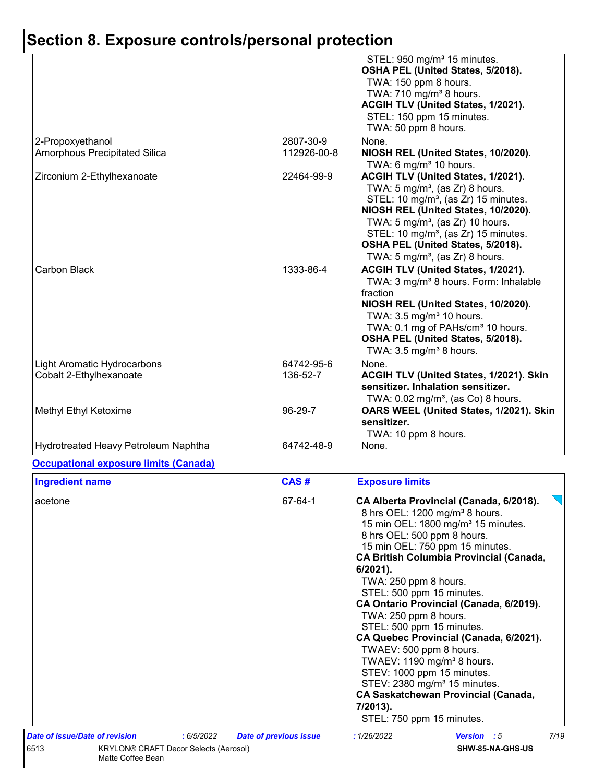|                                                               |                          | STEL: 950 mg/m <sup>3</sup> 15 minutes.<br>OSHA PEL (United States, 5/2018).<br>TWA: 150 ppm 8 hours.<br>TWA: 710 mg/m <sup>3</sup> 8 hours.<br>ACGIH TLV (United States, 1/2021).<br>STEL: 150 ppm 15 minutes.<br>TWA: 50 ppm 8 hours.                                                                                                                            |
|---------------------------------------------------------------|--------------------------|--------------------------------------------------------------------------------------------------------------------------------------------------------------------------------------------------------------------------------------------------------------------------------------------------------------------------------------------------------------------|
| 2-Propoxyethanol<br>Amorphous Precipitated Silica             | 2807-30-9<br>112926-00-8 | None.<br>NIOSH REL (United States, 10/2020).                                                                                                                                                                                                                                                                                                                       |
|                                                               |                          | TWA: 6 mg/m $3$ 10 hours.                                                                                                                                                                                                                                                                                                                                          |
| Zirconium 2-Ethylhexanoate                                    | 22464-99-9               | ACGIH TLV (United States, 1/2021).<br>TWA: $5 \text{ mg/m}^3$ , (as Zr) 8 hours.<br>STEL: 10 mg/m <sup>3</sup> , (as Zr) 15 minutes.<br>NIOSH REL (United States, 10/2020).<br>TWA: $5 \text{ mg/m}^3$ , (as Zr) 10 hours.<br>STEL: 10 mg/m <sup>3</sup> , (as Zr) 15 minutes.<br>OSHA PEL (United States, 5/2018).<br>TWA: 5 mg/m <sup>3</sup> , (as Zr) 8 hours. |
| Carbon Black                                                  | 1333-86-4                | ACGIH TLV (United States, 1/2021).<br>TWA: 3 mg/m <sup>3</sup> 8 hours. Form: Inhalable<br>fraction<br>NIOSH REL (United States, 10/2020).<br>TWA: 3.5 mg/m <sup>3</sup> 10 hours.<br>TWA: 0.1 mg of PAHs/cm <sup>3</sup> 10 hours.<br>OSHA PEL (United States, 5/2018).<br>TWA: $3.5 \text{ mg/m}^3$ 8 hours.                                                     |
| <b>Light Aromatic Hydrocarbons</b><br>Cobalt 2-Ethylhexanoate | 64742-95-6<br>136-52-7   | None.<br>ACGIH TLV (United States, 1/2021). Skin<br>sensitizer. Inhalation sensitizer.<br>TWA: 0.02 mg/m <sup>3</sup> , (as Co) 8 hours.                                                                                                                                                                                                                           |
| Methyl Ethyl Ketoxime                                         | 96-29-7                  | OARS WEEL (United States, 1/2021). Skin<br>sensitizer.<br>TWA: 10 ppm 8 hours.                                                                                                                                                                                                                                                                                     |
| Hydrotreated Heavy Petroleum Naphtha                          | 64742-48-9               | None.                                                                                                                                                                                                                                                                                                                                                              |

#### **Occupational exposure limits (Canada)**

| <b>Ingredient name</b>                                             |            | CAS#                          | <b>Exposure limits</b>                                                                                                                                                                                                                                                                                                                                                                                                                                                                                                                                                                                                                                                                                            |
|--------------------------------------------------------------------|------------|-------------------------------|-------------------------------------------------------------------------------------------------------------------------------------------------------------------------------------------------------------------------------------------------------------------------------------------------------------------------------------------------------------------------------------------------------------------------------------------------------------------------------------------------------------------------------------------------------------------------------------------------------------------------------------------------------------------------------------------------------------------|
| acetone                                                            |            | 67-64-1                       | CA Alberta Provincial (Canada, 6/2018).<br>8 hrs OEL: 1200 mg/m <sup>3</sup> 8 hours.<br>15 min OEL: 1800 mg/m <sup>3</sup> 15 minutes.<br>8 hrs OEL: 500 ppm 8 hours.<br>15 min OEL: 750 ppm 15 minutes.<br><b>CA British Columbia Provincial (Canada,</b><br>$6/2021$ ).<br>TWA: 250 ppm 8 hours.<br>STEL: 500 ppm 15 minutes.<br>CA Ontario Provincial (Canada, 6/2019).<br>TWA: 250 ppm 8 hours.<br>STEL: 500 ppm 15 minutes.<br>CA Quebec Provincial (Canada, 6/2021).<br>TWAEV: 500 ppm 8 hours.<br>TWAEV: 1190 mg/m <sup>3</sup> 8 hours.<br>STEV: 1000 ppm 15 minutes.<br>STEV: 2380 mg/m <sup>3</sup> 15 minutes.<br><b>CA Saskatchewan Provincial (Canada,</b><br>7/2013).<br>STEL: 750 ppm 15 minutes. |
| Date of issue/Date of revision                                     | : 6/5/2022 | <b>Date of previous issue</b> | 7/19<br>: 1/26/2022<br>Version : 5                                                                                                                                                                                                                                                                                                                                                                                                                                                                                                                                                                                                                                                                                |
| 6513<br>KRYLON® CRAFT Decor Selects (Aerosol)<br>Matte Coffee Bean |            | SHW-85-NA-GHS-US              |                                                                                                                                                                                                                                                                                                                                                                                                                                                                                                                                                                                                                                                                                                                   |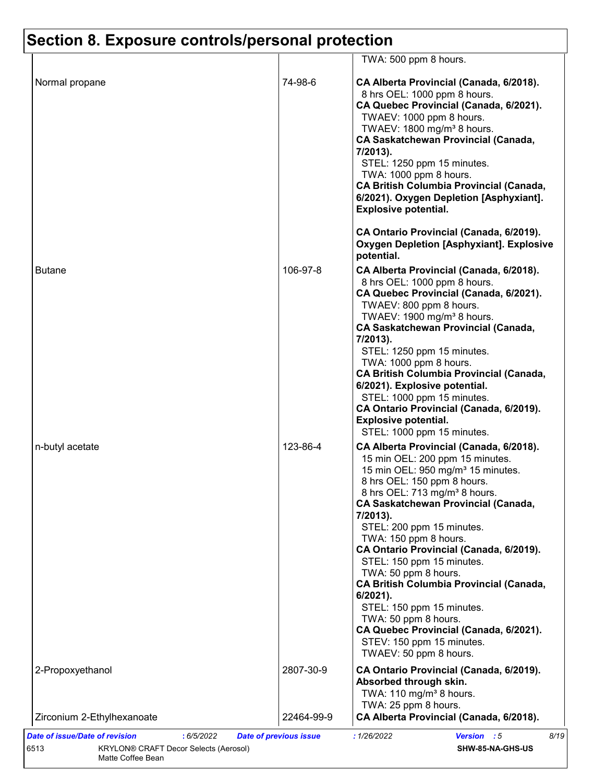|                            |            | TWA: 500 ppm 8 hours.                                                                                                                                                                                                                                                                                                                                                                                                                                                                                                                                                                                                                       |
|----------------------------|------------|---------------------------------------------------------------------------------------------------------------------------------------------------------------------------------------------------------------------------------------------------------------------------------------------------------------------------------------------------------------------------------------------------------------------------------------------------------------------------------------------------------------------------------------------------------------------------------------------------------------------------------------------|
| Normal propane             | 74-98-6    | CA Alberta Provincial (Canada, 6/2018).<br>8 hrs OEL: 1000 ppm 8 hours.<br>CA Quebec Provincial (Canada, 6/2021).<br>TWAEV: 1000 ppm 8 hours.<br>TWAEV: 1800 mg/m <sup>3</sup> 8 hours.<br><b>CA Saskatchewan Provincial (Canada,</b><br>7/2013).<br>STEL: 1250 ppm 15 minutes.<br>TWA: 1000 ppm 8 hours.<br><b>CA British Columbia Provincial (Canada,</b><br>6/2021). Oxygen Depletion [Asphyxiant].<br><b>Explosive potential.</b><br>CA Ontario Provincial (Canada, 6/2019).                                                                                                                                                            |
|                            |            | <b>Oxygen Depletion [Asphyxiant]. Explosive</b><br>potential.                                                                                                                                                                                                                                                                                                                                                                                                                                                                                                                                                                               |
| <b>Butane</b>              | 106-97-8   | CA Alberta Provincial (Canada, 6/2018).<br>8 hrs OEL: 1000 ppm 8 hours.<br>CA Quebec Provincial (Canada, 6/2021).<br>TWAEV: 800 ppm 8 hours.<br>TWAEV: 1900 mg/m <sup>3</sup> 8 hours.<br><b>CA Saskatchewan Provincial (Canada,</b><br>7/2013).<br>STEL: 1250 ppm 15 minutes.<br>TWA: 1000 ppm 8 hours.<br><b>CA British Columbia Provincial (Canada,</b><br>6/2021). Explosive potential.<br>STEL: 1000 ppm 15 minutes.<br>CA Ontario Provincial (Canada, 6/2019).<br><b>Explosive potential.</b><br>STEL: 1000 ppm 15 minutes.                                                                                                           |
| n-butyl acetate            | 123-86-4   | CA Alberta Provincial (Canada, 6/2018).<br>15 min OEL: 200 ppm 15 minutes.<br>15 min OEL: 950 mg/m <sup>3</sup> 15 minutes.<br>8 hrs OEL: 150 ppm 8 hours.<br>8 hrs OEL: 713 mg/m <sup>3</sup> 8 hours.<br><b>CA Saskatchewan Provincial (Canada,</b><br>7/2013).<br>STEL: 200 ppm 15 minutes.<br>TWA: 150 ppm 8 hours.<br>CA Ontario Provincial (Canada, 6/2019).<br>STEL: 150 ppm 15 minutes.<br>TWA: 50 ppm 8 hours.<br><b>CA British Columbia Provincial (Canada,</b><br>6/2021).<br>STEL: 150 ppm 15 minutes.<br>TWA: 50 ppm 8 hours.<br>CA Quebec Provincial (Canada, 6/2021).<br>STEV: 150 ppm 15 minutes.<br>TWAEV: 50 ppm 8 hours. |
| 2-Propoxyethanol           | 2807-30-9  | CA Ontario Provincial (Canada, 6/2019).<br>Absorbed through skin.<br>TWA: 110 mg/m <sup>3</sup> 8 hours.                                                                                                                                                                                                                                                                                                                                                                                                                                                                                                                                    |
| Zirconium 2-Ethylhexanoate | 22464-99-9 | TWA: 25 ppm 8 hours.<br>CA Alberta Provincial (Canada, 6/2018).                                                                                                                                                                                                                                                                                                                                                                                                                                                                                                                                                                             |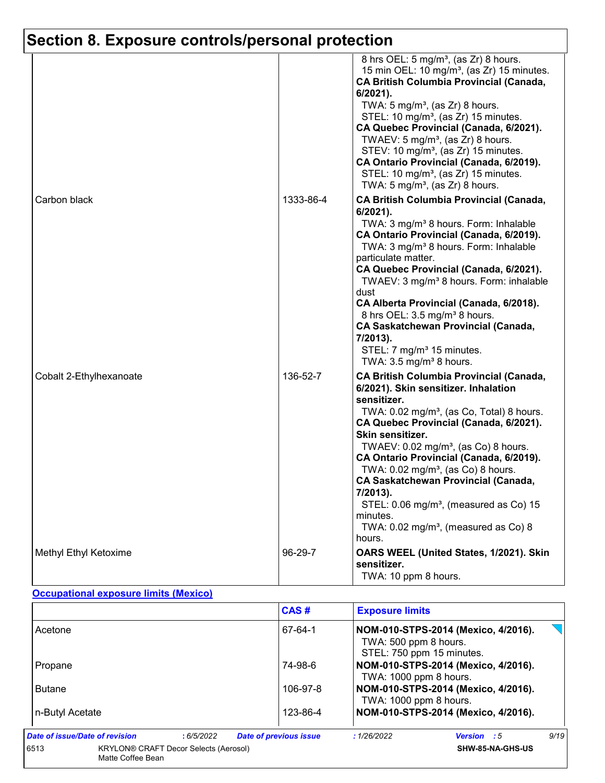|                         |           | 8 hrs OEL: 5 mg/m <sup>3</sup> , (as Zr) 8 hours.<br>15 min OEL: 10 mg/m <sup>3</sup> , (as Zr) 15 minutes.<br><b>CA British Columbia Provincial (Canada,</b><br>6/2021).<br>TWA: $5 \text{ mg/m}^3$ , (as Zr) 8 hours.<br>STEL: 10 mg/m <sup>3</sup> , (as Zr) 15 minutes.<br>CA Quebec Provincial (Canada, 6/2021).<br>TWAEV: 5 mg/m <sup>3</sup> , (as $Zr$ ) 8 hours.<br>STEV: 10 mg/m <sup>3</sup> , (as Zr) 15 minutes.<br>CA Ontario Provincial (Canada, 6/2019).<br>STEL: 10 mg/m <sup>3</sup> , (as Zr) 15 minutes.<br>TWA: $5 \text{ mg/m}^3$ , (as Zr) 8 hours.       |
|-------------------------|-----------|----------------------------------------------------------------------------------------------------------------------------------------------------------------------------------------------------------------------------------------------------------------------------------------------------------------------------------------------------------------------------------------------------------------------------------------------------------------------------------------------------------------------------------------------------------------------------------|
| Carbon black            | 1333-86-4 | <b>CA British Columbia Provincial (Canada,</b><br>6/2021).<br>TWA: 3 mg/m <sup>3</sup> 8 hours. Form: Inhalable<br>CA Ontario Provincial (Canada, 6/2019).<br>TWA: 3 mg/m <sup>3</sup> 8 hours. Form: Inhalable<br>particulate matter.<br>CA Quebec Provincial (Canada, 6/2021).<br>TWAEV: 3 mg/m <sup>3</sup> 8 hours. Form: inhalable<br>dust<br>CA Alberta Provincial (Canada, 6/2018).<br>8 hrs OEL: 3.5 mg/m <sup>3</sup> 8 hours.<br><b>CA Saskatchewan Provincial (Canada,</b><br>7/2013).<br>STEL: 7 mg/m <sup>3</sup> 15 minutes.<br>TWA: $3.5 \text{ mg/m}^3$ 8 hours. |
| Cobalt 2-Ethylhexanoate | 136-52-7  | <b>CA British Columbia Provincial (Canada,</b><br>6/2021). Skin sensitizer. Inhalation<br>sensitizer.<br>TWA: 0.02 mg/m <sup>3</sup> , (as Co, Total) 8 hours.<br>CA Quebec Provincial (Canada, 6/2021).<br>Skin sensitizer.<br>TWAEV: 0.02 mg/m <sup>3</sup> , (as Co) 8 hours.<br>CA Ontario Provincial (Canada, 6/2019).<br>TWA: $0.02$ mg/m <sup>3</sup> , (as Co) 8 hours.<br><b>CA Saskatchewan Provincial (Canada,</b><br>$7/2013$ ).<br>STEL: 0.06 mg/m <sup>3</sup> , (measured as Co) 15<br>minutes.<br>TWA: 0.02 mg/m <sup>3</sup> , (measured as Co) 8<br>hours.     |
| Methyl Ethyl Ketoxime   | 96-29-7   | OARS WEEL (United States, 1/2021). Skin<br>sensitizer.<br>TWA: 10 ppm 8 hours.                                                                                                                                                                                                                                                                                                                                                                                                                                                                                                   |

#### **Occupational exposure limits (Mexico)**

|                                                                           | CAS#                          | <b>Exposure limits</b>                             |                                     |      |
|---------------------------------------------------------------------------|-------------------------------|----------------------------------------------------|-------------------------------------|------|
| Acetone                                                                   | 67-64-1                       | TWA: 500 ppm 8 hours.<br>STEL: 750 ppm 15 minutes. | NOM-010-STPS-2014 (Mexico, 4/2016). |      |
| Propane                                                                   | 74-98-6                       | TWA: 1000 ppm 8 hours.                             | NOM-010-STPS-2014 (Mexico, 4/2016). |      |
| <b>Butane</b>                                                             | 106-97-8                      | TWA: 1000 ppm 8 hours.                             | NOM-010-STPS-2014 (Mexico, 4/2016). |      |
| n-Butyl Acetate                                                           | 123-86-4                      |                                                    | NOM-010-STPS-2014 (Mexico, 4/2016). |      |
| Date of issue/Date of revision<br>:6/5/2022                               | <b>Date of previous issue</b> | : 1/26/2022                                        | <b>Version</b> : 5                  | 9/19 |
| 6513<br><b>KRYLON® CRAFT Decor Selects (Aerosol)</b><br>Matte Coffee Bean |                               |                                                    | SHW-85-NA-GHS-US                    |      |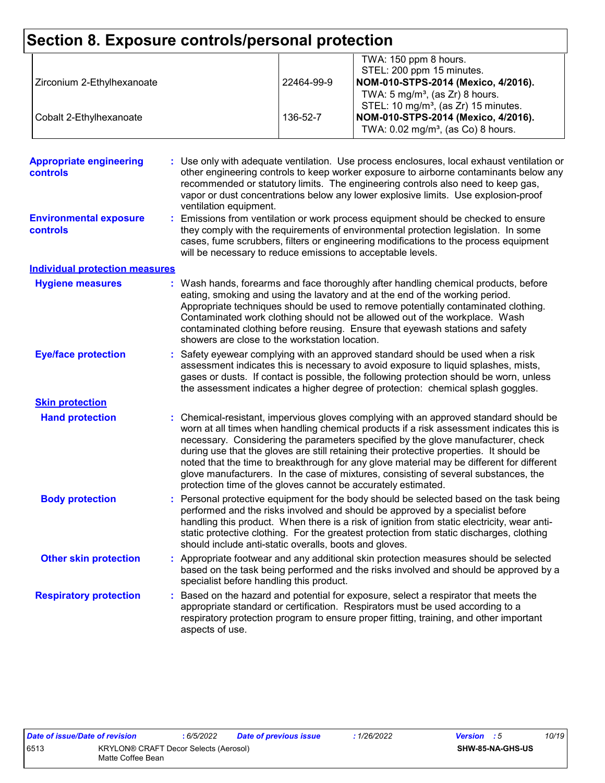| Section 8. Exposure controls/personal protection |                                                             |            |                                                                                                                                                                             |
|--------------------------------------------------|-------------------------------------------------------------|------------|-----------------------------------------------------------------------------------------------------------------------------------------------------------------------------|
|                                                  |                                                             |            | TWA: 150 ppm 8 hours.                                                                                                                                                       |
|                                                  |                                                             |            | STEL: 200 ppm 15 minutes.                                                                                                                                                   |
| Zirconium 2-Ethylhexanoate                       |                                                             | 22464-99-9 | NOM-010-STPS-2014 (Mexico, 4/2016).                                                                                                                                         |
|                                                  |                                                             |            | TWA: $5 \text{ mg/m}^3$ , (as Zr) 8 hours.                                                                                                                                  |
|                                                  |                                                             |            | STEL: 10 mg/m <sup>3</sup> , (as Zr) 15 minutes.                                                                                                                            |
| Cobalt 2-Ethylhexanoate                          |                                                             | 136-52-7   | NOM-010-STPS-2014 (Mexico, 4/2016).                                                                                                                                         |
|                                                  |                                                             |            | TWA: 0.02 mg/m <sup>3</sup> , (as Co) 8 hours.                                                                                                                              |
|                                                  |                                                             |            |                                                                                                                                                                             |
| <b>Appropriate engineering</b>                   |                                                             |            | Use only with adequate ventilation. Use process enclosures, local exhaust ventilation or                                                                                    |
| controls                                         |                                                             |            | other engineering controls to keep worker exposure to airborne contaminants below any                                                                                       |
|                                                  |                                                             |            | recommended or statutory limits. The engineering controls also need to keep gas,                                                                                            |
|                                                  |                                                             |            | vapor or dust concentrations below any lower explosive limits. Use explosion-proof                                                                                          |
|                                                  | ventilation equipment.                                      |            |                                                                                                                                                                             |
| <b>Environmental exposure</b>                    |                                                             |            | Emissions from ventilation or work process equipment should be checked to ensure                                                                                            |
| controls                                         |                                                             |            | they comply with the requirements of environmental protection legislation. In some                                                                                          |
|                                                  |                                                             |            | cases, fume scrubbers, filters or engineering modifications to the process equipment                                                                                        |
|                                                  | will be necessary to reduce emissions to acceptable levels. |            |                                                                                                                                                                             |
| <b>Individual protection measures</b>            |                                                             |            |                                                                                                                                                                             |
| <b>Hygiene measures</b>                          |                                                             |            | : Wash hands, forearms and face thoroughly after handling chemical products, before                                                                                         |
|                                                  |                                                             |            | eating, smoking and using the lavatory and at the end of the working period.                                                                                                |
|                                                  |                                                             |            | Appropriate techniques should be used to remove potentially contaminated clothing.                                                                                          |
|                                                  |                                                             |            | Contaminated work clothing should not be allowed out of the workplace. Wash                                                                                                 |
|                                                  | showers are close to the workstation location.              |            | contaminated clothing before reusing. Ensure that eyewash stations and safety                                                                                               |
|                                                  |                                                             |            |                                                                                                                                                                             |
| <b>Eye/face protection</b>                       |                                                             |            | Safety eyewear complying with an approved standard should be used when a risk                                                                                               |
|                                                  |                                                             |            | assessment indicates this is necessary to avoid exposure to liquid splashes, mists,                                                                                         |
|                                                  |                                                             |            | gases or dusts. If contact is possible, the following protection should be worn, unless<br>the assessment indicates a higher degree of protection: chemical splash goggles. |
| <b>Skin protection</b>                           |                                                             |            |                                                                                                                                                                             |
| <b>Hand protection</b>                           |                                                             |            | : Chemical-resistant, impervious gloves complying with an approved standard should be                                                                                       |
|                                                  |                                                             |            | worn at all times when handling chemical products if a risk assessment indicates this is                                                                                    |
|                                                  |                                                             |            | necessary. Considering the parameters specified by the glove manufacturer, check                                                                                            |
|                                                  |                                                             |            | during use that the gloves are still retaining their protective properties. It should be                                                                                    |
|                                                  |                                                             |            | noted that the time to breakthrough for any glove material may be different for different                                                                                   |
|                                                  |                                                             |            | glove manufacturers. In the case of mixtures, consisting of several substances, the                                                                                         |
|                                                  |                                                             |            | protection time of the gloves cannot be accurately estimated.                                                                                                               |
| <b>Body protection</b>                           |                                                             |            | Personal protective equipment for the body should be selected based on the task being                                                                                       |
|                                                  |                                                             |            | performed and the risks involved and should be approved by a specialist before                                                                                              |
|                                                  |                                                             |            | handling this product. When there is a risk of ignition from static electricity, wear anti-                                                                                 |
|                                                  |                                                             |            | static protective clothing. For the greatest protection from static discharges, clothing                                                                                    |
|                                                  | should include anti-static overalls, boots and gloves.      |            |                                                                                                                                                                             |
| <b>Other skin protection</b>                     |                                                             |            | : Appropriate footwear and any additional skin protection measures should be selected                                                                                       |
|                                                  |                                                             |            | based on the task being performed and the risks involved and should be approved by a                                                                                        |
|                                                  | specialist before handling this product.                    |            |                                                                                                                                                                             |
| <b>Respiratory protection</b>                    |                                                             |            | Based on the hazard and potential for exposure, select a respirator that meets the                                                                                          |
|                                                  |                                                             |            | appropriate standard or certification. Respirators must be used according to a                                                                                              |
|                                                  |                                                             |            | respiratory protection program to ensure proper fitting, training, and other important                                                                                      |
|                                                  | aspects of use.                                             |            |                                                                                                                                                                             |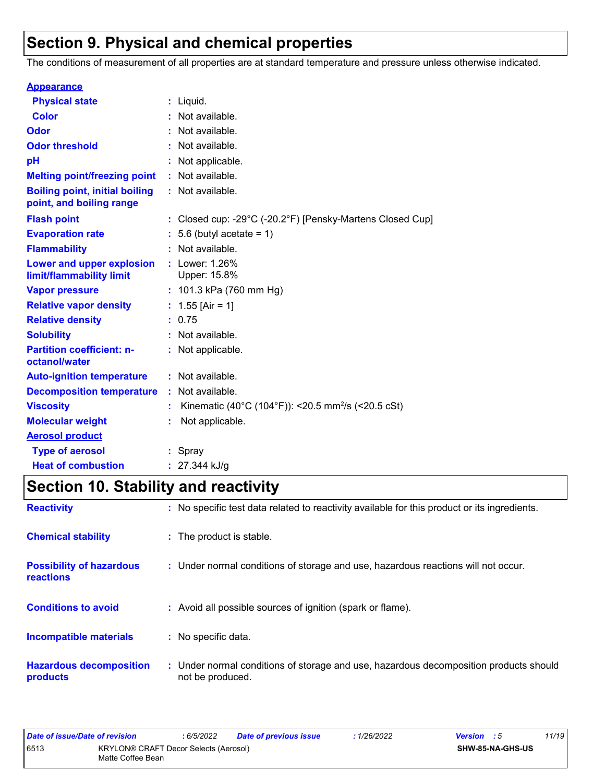# **Section 9. Physical and chemical properties**

The conditions of measurement of all properties are at standard temperature and pressure unless otherwise indicated.

| <b>Appearance</b>                                                 |    |                                                                                 |
|-------------------------------------------------------------------|----|---------------------------------------------------------------------------------|
| <b>Physical state</b>                                             |    | $:$ Liquid.                                                                     |
| <b>Color</b>                                                      |    | Not available.                                                                  |
| <b>Odor</b>                                                       |    | Not available.                                                                  |
| <b>Odor threshold</b>                                             |    | Not available.                                                                  |
| pH                                                                |    | Not applicable.                                                                 |
| <b>Melting point/freezing point</b>                               |    | : Not available.                                                                |
| <b>Boiling point, initial boiling</b><br>point, and boiling range |    | : Not available.                                                                |
| <b>Flash point</b>                                                |    | : Closed cup: -29 $^{\circ}$ C (-20.2 $^{\circ}$ F) [Pensky-Martens Closed Cup] |
| <b>Evaporation rate</b>                                           |    | 5.6 (butyl acetate = $1$ )                                                      |
| <b>Flammability</b>                                               |    | Not available.                                                                  |
| Lower and upper explosion<br>limit/flammability limit             |    | : Lower: 1.26%<br>Upper: 15.8%                                                  |
| <b>Vapor pressure</b>                                             |    | : $101.3$ kPa (760 mm Hg)                                                       |
| <b>Relative vapor density</b>                                     |    | : $1.55$ [Air = 1]                                                              |
| <b>Relative density</b>                                           |    | : 0.75                                                                          |
| <b>Solubility</b>                                                 |    | Not available.                                                                  |
| <b>Partition coefficient: n-</b><br>octanol/water                 |    | : Not applicable.                                                               |
| <b>Auto-ignition temperature</b>                                  |    | : Not available.                                                                |
| <b>Decomposition temperature</b>                                  | ÷. | Not available.                                                                  |
| <b>Viscosity</b>                                                  |    | Kinematic (40°C (104°F)): <20.5 mm <sup>2</sup> /s (<20.5 cSt)                  |
| <b>Molecular weight</b>                                           |    | Not applicable.                                                                 |
| <b>Aerosol product</b>                                            |    |                                                                                 |
| <b>Type of aerosol</b>                                            |    | : Spray                                                                         |
| <b>Heat of combustion</b>                                         |    | $: 27.344$ kJ/g                                                                 |

# **Section 10. Stability and reactivity**

| <b>Reactivity</b>                                   | : No specific test data related to reactivity available for this product or its ingredients.              |
|-----------------------------------------------------|-----------------------------------------------------------------------------------------------------------|
| <b>Chemical stability</b>                           | : The product is stable.                                                                                  |
| <b>Possibility of hazardous</b><br><b>reactions</b> | : Under normal conditions of storage and use, hazardous reactions will not occur.                         |
| <b>Conditions to avoid</b>                          | : Avoid all possible sources of ignition (spark or flame).                                                |
| <b>Incompatible materials</b>                       | : No specific data.                                                                                       |
| <b>Hazardous decomposition</b><br>products          | : Under normal conditions of storage and use, hazardous decomposition products should<br>not be produced. |

| Date of issue/Date of revision |                                                            | : 6/5/2022 | <b>Date of previous issue</b> | : 1/26/2022 | <b>Version</b> : 5 |                  | 11/19 |
|--------------------------------|------------------------------------------------------------|------------|-------------------------------|-------------|--------------------|------------------|-------|
| 6513                           | KRYLON® CRAFT Decor Selects (Aerosol)<br>Matte Coffee Bean |            |                               |             |                    | SHW-85-NA-GHS-US |       |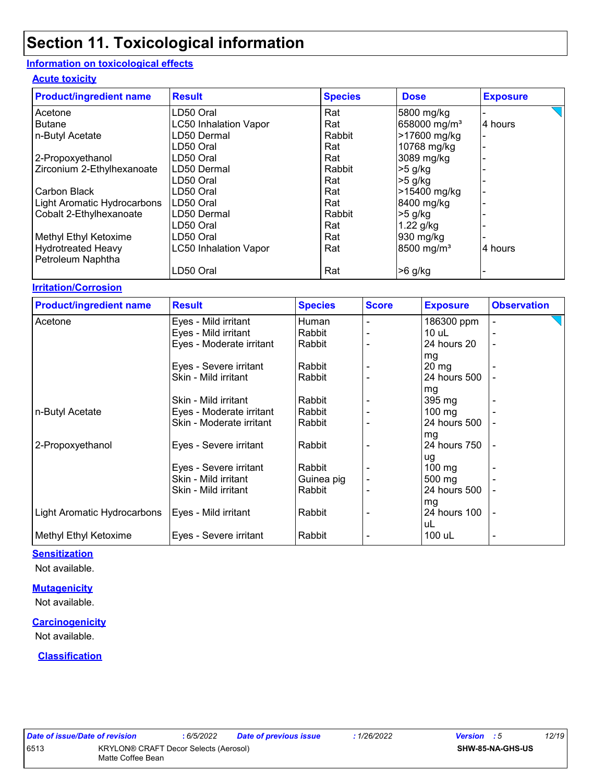#### **Information on toxicological effects**

#### **Acute toxicity**

| <b>Product/ingredient name</b> | <b>Result</b>                | <b>Species</b> | <b>Dose</b>              | <b>Exposure</b> |
|--------------------------------|------------------------------|----------------|--------------------------|-----------------|
| Acetone                        | LD50 Oral                    | Rat            | 5800 mg/kg               |                 |
| <b>Butane</b>                  | <b>LC50 Inhalation Vapor</b> | Rat            | 658000 mg/m <sup>3</sup> | 4 hours         |
| n-Butyl Acetate                | LD50 Dermal                  | Rabbit         | >17600 mg/kg             |                 |
|                                | LD50 Oral                    | Rat            | 10768 mg/kg              |                 |
| 2-Propoxyethanol               | LD50 Oral                    | Rat            | 3089 mg/kg               |                 |
| Zirconium 2-Ethylhexanoate     | LD50 Dermal                  | Rabbit         | $>5$ g/kg                |                 |
|                                | LD50 Oral                    | Rat            | $>5$ g/kg                |                 |
| Carbon Black                   | LD50 Oral                    | Rat            | >15400 mg/kg             |                 |
| Light Aromatic Hydrocarbons    | ILD50 Oral                   | Rat            | 8400 mg/kg               |                 |
| Cobalt 2-Ethylhexanoate        | LD50 Dermal                  | Rabbit         | $>5$ g/kg                |                 |
|                                | LD50 Oral                    | Rat            | 1.22 g/kg                |                 |
| Methyl Ethyl Ketoxime          | LD50 Oral                    | Rat            | 930 mg/kg                |                 |
| <b>Hydrotreated Heavy</b>      | <b>LC50 Inhalation Vapor</b> | Rat            | 8500 mg/m <sup>3</sup>   | 4 hours         |
| Petroleum Naphtha              |                              |                |                          |                 |
|                                | LD50 Oral                    | Rat            | $>6$ g/kg                |                 |

#### **Irritation/Corrosion**

| <b>Product/ingredient name</b> | <b>Result</b>            | <b>Species</b> | <b>Score</b> | <b>Exposure</b>  | <b>Observation</b> |
|--------------------------------|--------------------------|----------------|--------------|------------------|--------------------|
| Acetone                        | Eyes - Mild irritant     | Human          |              | 186300 ppm       | ٠                  |
|                                | Eyes - Mild irritant     | Rabbit         |              | $10$ uL          |                    |
|                                | Eyes - Moderate irritant | Rabbit         |              | 24 hours 20      | $\blacksquare$     |
|                                |                          |                |              | mg               |                    |
|                                | Eyes - Severe irritant   | Rabbit         |              | $20 \, mg$       |                    |
|                                | Skin - Mild irritant     | Rabbit         |              | 24 hours 500     |                    |
|                                |                          |                |              | mg               |                    |
|                                | Skin - Mild irritant     | Rabbit         |              | 395 mg           |                    |
| n-Butyl Acetate                | Eyes - Moderate irritant | Rabbit         |              | $100$ mg         |                    |
|                                | Skin - Moderate irritant | Rabbit         |              | 24 hours 500     |                    |
|                                |                          |                |              | mg               |                    |
| 2-Propoxyethanol               | Eyes - Severe irritant   | Rabbit         |              | 24 hours 750     |                    |
|                                |                          |                |              | ug               |                    |
|                                | Eyes - Severe irritant   | Rabbit         |              | $100$ mg         |                    |
|                                | Skin - Mild irritant     | Guinea pig     |              | $500 \text{ mg}$ |                    |
|                                | Skin - Mild irritant     | Rabbit         |              | 24 hours 500     |                    |
|                                |                          |                |              | mg               |                    |
| Light Aromatic Hydrocarbons    | Eyes - Mild irritant     | Rabbit         |              | 24 hours 100     |                    |
|                                |                          |                |              | uL               |                    |
| Methyl Ethyl Ketoxime          | Eyes - Severe irritant   | Rabbit         |              | 100 uL           | $\blacksquare$     |

#### **Sensitization**

Not available.

#### **Mutagenicity**

Not available.

#### **Carcinogenicity**

Not available.

#### **Classification**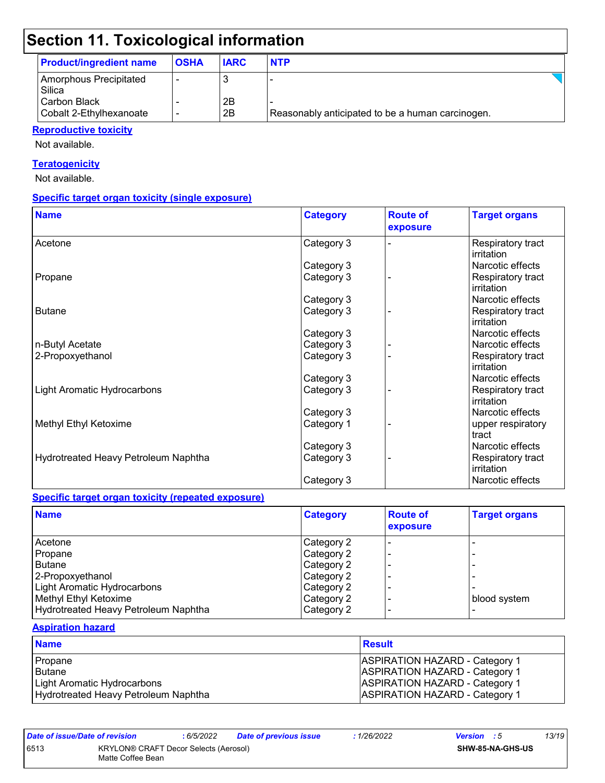| <b>Product/ingredient name</b>          | <b>OSHA</b> | <b>IARC</b> | <b>NTP</b>                                       |  |
|-----------------------------------------|-------------|-------------|--------------------------------------------------|--|
| Amorphous Precipitated<br>Silica        |             |             |                                                  |  |
| Carbon Black<br>Cobalt 2-Ethylhexanoate |             | 2B<br>2B    | Reasonably anticipated to be a human carcinogen. |  |

#### **Reproductive toxicity**

Not available.

#### **Teratogenicity**

Not available.

#### **Specific target organ toxicity (single exposure)**

| <b>Name</b>                          | <b>Category</b> | <b>Route of</b><br>exposure | <b>Target organs</b>            |
|--------------------------------------|-----------------|-----------------------------|---------------------------------|
| Acetone                              | Category 3      |                             | Respiratory tract<br>irritation |
|                                      | Category 3      |                             | Narcotic effects                |
| Propane                              | Category 3      |                             | Respiratory tract<br>irritation |
|                                      | Category 3      |                             | Narcotic effects                |
| <b>Butane</b>                        | Category 3      |                             | Respiratory tract<br>irritation |
|                                      | Category 3      |                             | Narcotic effects                |
| n-Butyl Acetate                      | Category 3      |                             | Narcotic effects                |
| 2-Propoxyethanol                     | Category 3      |                             | Respiratory tract<br>irritation |
|                                      | Category 3      |                             | Narcotic effects                |
| <b>Light Aromatic Hydrocarbons</b>   | Category 3      |                             | Respiratory tract<br>irritation |
|                                      | Category 3      |                             | Narcotic effects                |
| Methyl Ethyl Ketoxime                | Category 1      |                             | upper respiratory<br>tract      |
|                                      | Category 3      |                             | Narcotic effects                |
| Hydrotreated Heavy Petroleum Naphtha | Category 3      |                             | Respiratory tract<br>irritation |
|                                      | Category 3      |                             | Narcotic effects                |

#### **Specific target organ toxicity (repeated exposure)**

| <b>Name</b>                          | <b>Category</b> | <b>Route of</b><br>exposure | <b>Target organs</b> |
|--------------------------------------|-----------------|-----------------------------|----------------------|
| l Acetone                            | Category 2      |                             |                      |
| Propane                              | Category 2      | -                           |                      |
| Butane                               | Category 2      |                             |                      |
| 2-Propoxyethanol                     | Category 2      |                             |                      |
| <b>Light Aromatic Hydrocarbons</b>   | Category 2      |                             |                      |
| Methyl Ethyl Ketoxime                | Category 2      |                             | blood system         |
| Hydrotreated Heavy Petroleum Naphtha | Category 2      |                             |                      |

#### **Aspiration hazard**

| <b>Name</b>                          | <b>Result</b>                         |
|--------------------------------------|---------------------------------------|
| l Propane                            | <b>ASPIRATION HAZARD - Category 1</b> |
| l Butane                             | <b>ASPIRATION HAZARD - Category 1</b> |
| Light Aromatic Hydrocarbons          | <b>ASPIRATION HAZARD - Category 1</b> |
| Hydrotreated Heavy Petroleum Naphtha | <b>ASPIRATION HAZARD - Category 1</b> |

*Date of issue/Date of revision* **:** *6/5/2022 Date of previous issue : 1/26/2022 Version : 5 13/19* 6513 KRYLON® CRAFT Decor Selects (Aerosol) Matte Coffee Bean **SHW-85-NA-GHS-US**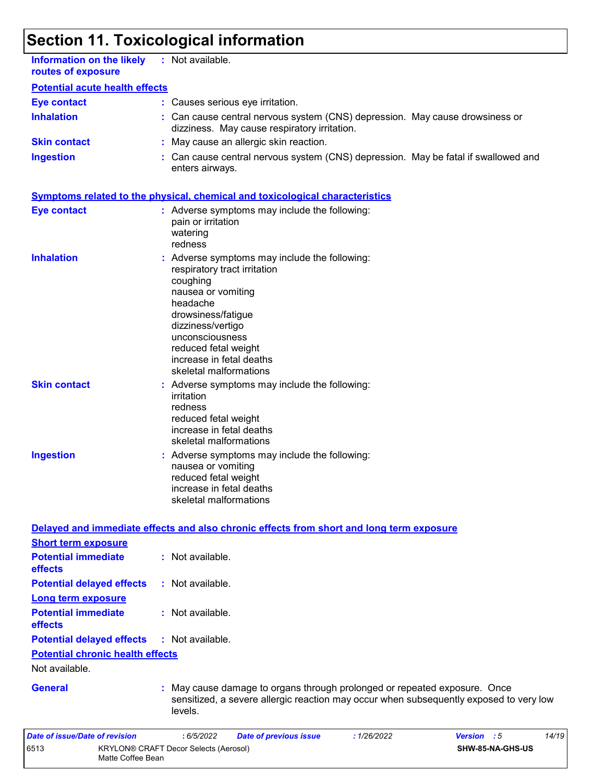| <b>Information on the likely</b><br>routes of exposure | : Not available.                                                                                                                                                                                                                                                      |
|--------------------------------------------------------|-----------------------------------------------------------------------------------------------------------------------------------------------------------------------------------------------------------------------------------------------------------------------|
| <b>Potential acute health effects</b>                  |                                                                                                                                                                                                                                                                       |
| <b>Eye contact</b>                                     | : Causes serious eye irritation.                                                                                                                                                                                                                                      |
| <b>Inhalation</b>                                      | Can cause central nervous system (CNS) depression. May cause drowsiness or<br>dizziness. May cause respiratory irritation.                                                                                                                                            |
| <b>Skin contact</b>                                    | : May cause an allergic skin reaction.                                                                                                                                                                                                                                |
| <b>Ingestion</b>                                       | Can cause central nervous system (CNS) depression. May be fatal if swallowed and<br>enters airways.                                                                                                                                                                   |
|                                                        | <b>Symptoms related to the physical, chemical and toxicological characteristics</b>                                                                                                                                                                                   |
| <b>Eye contact</b>                                     | : Adverse symptoms may include the following:<br>pain or irritation<br>watering<br>redness                                                                                                                                                                            |
| <b>Inhalation</b>                                      | Adverse symptoms may include the following:<br>respiratory tract irritation<br>coughing<br>nausea or vomiting<br>headache<br>drowsiness/fatigue<br>dizziness/vertigo<br>unconsciousness<br>reduced fetal weight<br>increase in fetal deaths<br>skeletal malformations |
| <b>Skin contact</b>                                    | : Adverse symptoms may include the following:<br>irritation<br>redness<br>reduced fetal weight<br>increase in fetal deaths<br>skeletal malformations                                                                                                                  |
| <b>Ingestion</b>                                       | Adverse symptoms may include the following:<br>nausea or vomiting<br>reduced fetal weight<br>increase in fetal deaths<br>skeletal malformations                                                                                                                       |
|                                                        | Delayed and immediate effects and also chronic effects from short and long term exposure                                                                                                                                                                              |
| <b>Short term exposure</b>                             |                                                                                                                                                                                                                                                                       |
| <b>Potential immediate</b><br>effects                  | : Not available.                                                                                                                                                                                                                                                      |
| <b>Potential delayed effects</b>                       | : Not available.                                                                                                                                                                                                                                                      |
| <b>Long term exposure</b>                              |                                                                                                                                                                                                                                                                       |
| <b>Potential immediate</b><br>effects                  | : Not available.                                                                                                                                                                                                                                                      |
| <b>Potential delayed effects</b>                       | : Not available.                                                                                                                                                                                                                                                      |
| <b>Potential chronic health effects</b>                |                                                                                                                                                                                                                                                                       |
| Not available.                                         |                                                                                                                                                                                                                                                                       |
| <b>General</b>                                         | May cause damage to organs through prolonged or repeated exposure. Once<br>sensitized, a severe allergic reaction may occur when subsequently exposed to very low<br>levels.                                                                                          |
| Date of issue/Date of revision                         | : 6/5/2022<br>: 1/26/2022<br>Version : 5<br>14/19<br><b>Date of previous issue</b>                                                                                                                                                                                    |
| 6513<br>Matte Coffee Bean                              | KRYLON® CRAFT Decor Selects (Aerosol)<br>SHW-85-NA-GHS-US                                                                                                                                                                                                             |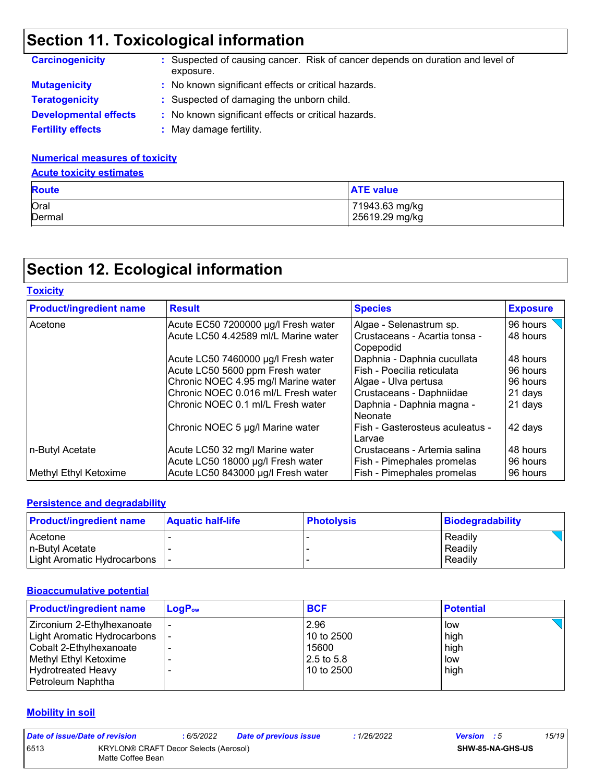| <b>Carcinogenicity</b>       | : Suspected of causing cancer. Risk of cancer depends on duration and level of<br>exposure. |
|------------------------------|---------------------------------------------------------------------------------------------|
| <b>Mutagenicity</b>          | : No known significant effects or critical hazards.                                         |
| <b>Teratogenicity</b>        | : Suspected of damaging the unborn child.                                                   |
| <b>Developmental effects</b> | : No known significant effects or critical hazards.                                         |
| <b>Fertility effects</b>     | May damage fertility.                                                                       |

#### **Numerical measures of toxicity**

#### **Acute toxicity estimates**

| <b>Route</b> | <b>ATE value</b> |
|--------------|------------------|
| Oral         | 71943.63 mg/kg   |
| Dermal       | 25619.29 mg/kg   |

# **Section 12. Ecological information**

| <b>Toxicity</b>                |                                                                      |                                                            |                      |
|--------------------------------|----------------------------------------------------------------------|------------------------------------------------------------|----------------------|
| <b>Product/ingredient name</b> | <b>Result</b>                                                        | <b>Species</b>                                             | <b>Exposure</b>      |
| Acetone                        | Acute EC50 7200000 µg/l Fresh water                                  | Algae - Selenastrum sp.                                    | 96 hours             |
|                                | Acute LC50 4.42589 ml/L Marine water                                 | l Crustaceans - Acartia tonsa -<br>l Copepodid             | 48 hours             |
|                                | Acute LC50 7460000 µg/l Fresh water                                  | Daphnia - Daphnia cucullata                                | 48 hours             |
|                                | Acute LC50 5600 ppm Fresh water                                      | l Fish - Poecilia reticulata                               | 96 hours             |
|                                | Chronic NOEC 4.95 mg/l Marine water                                  | Algae - Ulva pertusa                                       | 96 hours             |
|                                | Chronic NOEC 0.016 ml/L Fresh water                                  | Crustaceans - Daphniidae                                   | 21 days              |
|                                | Chronic NOEC 0.1 ml/L Fresh water                                    | Daphnia - Daphnia magna -<br><b>Neonate</b>                | 21 days              |
|                                | Chronic NOEC 5 µg/l Marine water                                     | Fish - Gasterosteus aculeatus -<br>Larvae                  | 42 days              |
| n-Butyl Acetate                | Acute LC50 32 mg/l Marine water<br>Acute LC50 18000 µg/l Fresh water | Crustaceans - Artemia salina<br>Fish - Pimephales promelas | 48 hours<br>96 hours |
| Methyl Ethyl Ketoxime          | Acute LC50 843000 µg/l Fresh water                                   | <b>Fish - Pimephales promelas</b>                          | 96 hours             |

#### **Persistence and degradability**

| <b>Product/ingredient name</b>  | <b>Aquatic half-life</b> | <b>Photolysis</b> | Biodegradability |
|---------------------------------|--------------------------|-------------------|------------------|
| Acetone                         |                          |                   | Readily          |
| l n-Butvl Acetate               |                          |                   | Readily          |
| Light Aromatic Hydrocarbons   - |                          |                   | Readily          |

#### **Bioaccumulative potential**

| <b>Product/ingredient name</b>                                                                                                                                  | $LogP_{ow}$ | <b>BCF</b>                                                | <b>Potential</b>                   |
|-----------------------------------------------------------------------------------------------------------------------------------------------------------------|-------------|-----------------------------------------------------------|------------------------------------|
| Zirconium 2-Ethylhexanoate<br>Light Aromatic Hydrocarbons<br>Cobalt 2-Ethylhexanoate<br>Methyl Ethyl Ketoxime<br><b>Hydrotreated Heavy</b><br>Petroleum Naphtha |             | 2.96<br>10 to 2500<br>15600<br>$2.5$ to 5.8<br>10 to 2500 | low<br>high<br>high<br>low<br>high |

#### **Mobility in soil**

| Date of issue/Date of revision |                                                            | : 6/5/2022              | <b>Date of previous issue</b> | : 1/26/2022 | <b>Version</b> : 5 | 15/19 |
|--------------------------------|------------------------------------------------------------|-------------------------|-------------------------------|-------------|--------------------|-------|
| 6513                           | KRYLON® CRAFT Decor Selects (Aerosol)<br>Matte Coffee Bean | <b>SHW-85-NA-GHS-US</b> |                               |             |                    |       |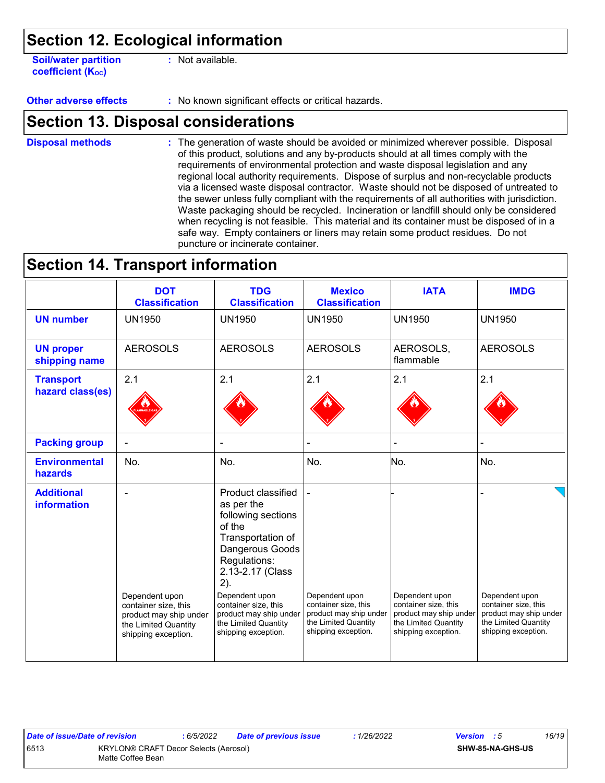**Soil/water partition coefficient (Koc)** 

**:** Not available.

**Other adverse effects** : No known significant effects or critical hazards.

### **Section 13. Disposal considerations**

The generation of waste should be avoided or minimized wherever possible. Disposal of this product, solutions and any by-products should at all times comply with the requirements of environmental protection and waste disposal legislation and any regional local authority requirements. Dispose of surplus and non-recyclable products via a licensed waste disposal contractor. Waste should not be disposed of untreated to the sewer unless fully compliant with the requirements of all authorities with jurisdiction. Waste packaging should be recycled. Incineration or landfill should only be considered when recycling is not feasible. This material and its container must be disposed of in a safe way. Empty containers or liners may retain some product residues. Do not puncture or incinerate container. **Disposal methods :**

### **Section 14. Transport information**

|                                         | <b>DOT</b><br><b>Classification</b>                                   | <b>TDG</b><br><b>Classification</b>                                                                                                                                                           | <b>Mexico</b><br><b>Classification</b>                                | <b>IATA</b>                                                           | <b>IMDG</b>                                                           |
|-----------------------------------------|-----------------------------------------------------------------------|-----------------------------------------------------------------------------------------------------------------------------------------------------------------------------------------------|-----------------------------------------------------------------------|-----------------------------------------------------------------------|-----------------------------------------------------------------------|
| <b>UN number</b>                        | <b>UN1950</b>                                                         | <b>UN1950</b>                                                                                                                                                                                 | <b>UN1950</b>                                                         | <b>UN1950</b>                                                         | <b>UN1950</b>                                                         |
| <b>UN proper</b><br>shipping name       | <b>AEROSOLS</b>                                                       | <b>AEROSOLS</b>                                                                                                                                                                               | <b>AEROSOLS</b>                                                       | AEROSOLS,<br>flammable                                                | <b>AEROSOLS</b>                                                       |
| <b>Transport</b><br>hazard class(es)    | 2.1                                                                   | 2.1                                                                                                                                                                                           | 2.1                                                                   | 2.1                                                                   | 2.1                                                                   |
| <b>Packing group</b>                    |                                                                       |                                                                                                                                                                                               |                                                                       |                                                                       |                                                                       |
| <b>Environmental</b><br>hazards         | No.                                                                   | No.                                                                                                                                                                                           | No.                                                                   | No.                                                                   | No.                                                                   |
| <b>Additional</b><br><b>information</b> | Dependent upon<br>container size, this                                | Product classified<br>as per the<br>following sections<br>of the<br>Transportation of<br>Dangerous Goods<br>Regulations:<br>2.13-2.17 (Class<br>2).<br>Dependent upon<br>container size, this | Dependent upon<br>container size, this                                | Dependent upon<br>container size, this                                | Dependent upon<br>container size, this                                |
|                                         | product may ship under<br>the Limited Quantity<br>shipping exception. | product may ship under<br>the Limited Quantity<br>shipping exception.                                                                                                                         | product may ship under<br>the Limited Quantity<br>shipping exception. | product may ship under<br>the Limited Quantity<br>shipping exception. | product may ship under<br>the Limited Quantity<br>shipping exception. |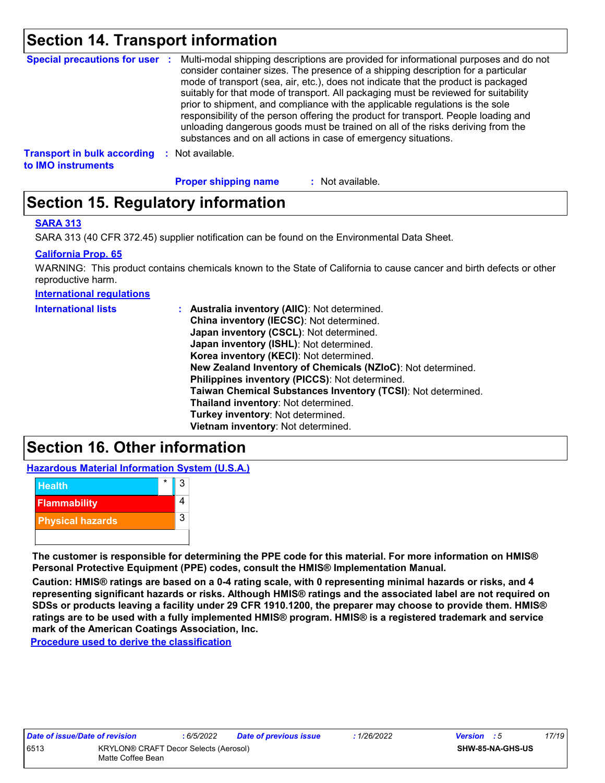## **Section 14. Transport information**

|                                                          |      | Special precautions for user : Multi-modal shipping descriptions are provided for informational purposes and do not<br>consider container sizes. The presence of a shipping description for a particular<br>mode of transport (sea, air, etc.), does not indicate that the product is packaged<br>suitably for that mode of transport. All packaging must be reviewed for suitability<br>prior to shipment, and compliance with the applicable regulations is the sole<br>responsibility of the person offering the product for transport. People loading and<br>unloading dangerous goods must be trained on all of the risks deriving from the<br>substances and on all actions in case of emergency situations. |
|----------------------------------------------------------|------|--------------------------------------------------------------------------------------------------------------------------------------------------------------------------------------------------------------------------------------------------------------------------------------------------------------------------------------------------------------------------------------------------------------------------------------------------------------------------------------------------------------------------------------------------------------------------------------------------------------------------------------------------------------------------------------------------------------------|
| <b>Transport in bulk according</b><br>to IMO instruments | - 50 | Not available.                                                                                                                                                                                                                                                                                                                                                                                                                                                                                                                                                                                                                                                                                                     |

**Proper shipping name :**

: Not available.

# **Section 15. Regulatory information**

#### **SARA 313**

SARA 313 (40 CFR 372.45) supplier notification can be found on the Environmental Data Sheet.

#### **California Prop. 65**

WARNING: This product contains chemicals known to the State of California to cause cancer and birth defects or other reproductive harm.

**International regulations**

| <b>International lists</b> | : Australia inventory (AIIC): Not determined.<br>China inventory (IECSC): Not determined.<br>Japan inventory (CSCL): Not determined.<br>Japan inventory (ISHL): Not determined.<br>Korea inventory (KECI): Not determined.<br>New Zealand Inventory of Chemicals (NZIoC): Not determined.<br>Philippines inventory (PICCS): Not determined.<br>Taiwan Chemical Substances Inventory (TCSI): Not determined.<br>Thailand inventory: Not determined. |
|----------------------------|----------------------------------------------------------------------------------------------------------------------------------------------------------------------------------------------------------------------------------------------------------------------------------------------------------------------------------------------------------------------------------------------------------------------------------------------------|
|                            | Turkey inventory: Not determined.                                                                                                                                                                                                                                                                                                                                                                                                                  |
|                            | Vietnam inventory: Not determined.                                                                                                                                                                                                                                                                                                                                                                                                                 |

## **Section 16. Other information**

**Hazardous Material Information System (U.S.A.)**



**The customer is responsible for determining the PPE code for this material. For more information on HMIS® Personal Protective Equipment (PPE) codes, consult the HMIS® Implementation Manual.**

**Caution: HMIS® ratings are based on a 0-4 rating scale, with 0 representing minimal hazards or risks, and 4 representing significant hazards or risks. Although HMIS® ratings and the associated label are not required on SDSs or products leaving a facility under 29 CFR 1910.1200, the preparer may choose to provide them. HMIS® ratings are to be used with a fully implemented HMIS® program. HMIS® is a registered trademark and service mark of the American Coatings Association, Inc.**

**Procedure used to derive the classification**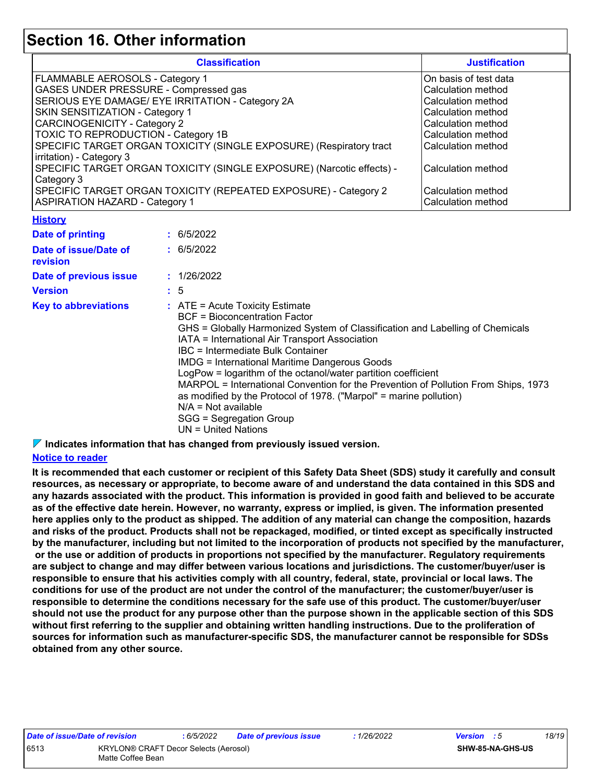### **Section 16. Other information**

| <b>Classification</b>                                                 | <b>Justification</b>  |
|-----------------------------------------------------------------------|-----------------------|
| FLAMMABLE AEROSOLS - Category 1                                       | On basis of test data |
| GASES UNDER PRESSURE - Compressed gas                                 | Calculation method    |
| SERIOUS EYE DAMAGE/ EYE IRRITATION - Category 2A                      | Calculation method    |
| SKIN SENSITIZATION - Category 1                                       | Calculation method    |
| <b>CARCINOGENICITY - Category 2</b>                                   | Calculation method    |
| TOXIC TO REPRODUCTION - Category 1B                                   | Calculation method    |
| SPECIFIC TARGET ORGAN TOXICITY (SINGLE EXPOSURE) (Respiratory tract   | Calculation method    |
| irritation) - Category 3                                              |                       |
| SPECIFIC TARGET ORGAN TOXICITY (SINGLE EXPOSURE) (Narcotic effects) - | Calculation method    |
| Category 3                                                            |                       |
| SPECIFIC TARGET ORGAN TOXICITY (REPEATED EXPOSURE) - Category 2       | Calculation method    |
| <b>ASPIRATION HAZARD - Category 1</b>                                 | Calculation method    |

#### **History**

| Date of printing                  | : 6/5/2022                                                                                                                                                                                                                                                                                                                                                                                                                                                                                                                                                                                                          |
|-----------------------------------|---------------------------------------------------------------------------------------------------------------------------------------------------------------------------------------------------------------------------------------------------------------------------------------------------------------------------------------------------------------------------------------------------------------------------------------------------------------------------------------------------------------------------------------------------------------------------------------------------------------------|
| Date of issue/Date of<br>revision | : 6/5/2022                                                                                                                                                                                                                                                                                                                                                                                                                                                                                                                                                                                                          |
| Date of previous issue            | : 1/26/2022                                                                                                                                                                                                                                                                                                                                                                                                                                                                                                                                                                                                         |
| <b>Version</b>                    | : 5                                                                                                                                                                                                                                                                                                                                                                                                                                                                                                                                                                                                                 |
| <b>Key to abbreviations</b>       | $\therefore$ ATE = Acute Toxicity Estimate<br>BCF = Bioconcentration Factor<br>GHS = Globally Harmonized System of Classification and Labelling of Chemicals<br>IATA = International Air Transport Association<br>IBC = Intermediate Bulk Container<br><b>IMDG = International Maritime Dangerous Goods</b><br>LogPow = logarithm of the octanol/water partition coefficient<br>MARPOL = International Convention for the Prevention of Pollution From Ships, 1973<br>as modified by the Protocol of 1978. ("Marpol" = marine pollution)<br>$N/A = Not available$<br>SGG = Segregation Group<br>UN = United Nations |

**Indicates information that has changed from previously issued version.**

#### **Notice to reader**

**It is recommended that each customer or recipient of this Safety Data Sheet (SDS) study it carefully and consult resources, as necessary or appropriate, to become aware of and understand the data contained in this SDS and any hazards associated with the product. This information is provided in good faith and believed to be accurate as of the effective date herein. However, no warranty, express or implied, is given. The information presented here applies only to the product as shipped. The addition of any material can change the composition, hazards and risks of the product. Products shall not be repackaged, modified, or tinted except as specifically instructed by the manufacturer, including but not limited to the incorporation of products not specified by the manufacturer, or the use or addition of products in proportions not specified by the manufacturer. Regulatory requirements are subject to change and may differ between various locations and jurisdictions. The customer/buyer/user is responsible to ensure that his activities comply with all country, federal, state, provincial or local laws. The conditions for use of the product are not under the control of the manufacturer; the customer/buyer/user is responsible to determine the conditions necessary for the safe use of this product. The customer/buyer/user should not use the product for any purpose other than the purpose shown in the applicable section of this SDS without first referring to the supplier and obtaining written handling instructions. Due to the proliferation of sources for information such as manufacturer-specific SDS, the manufacturer cannot be responsible for SDSs obtained from any other source.**